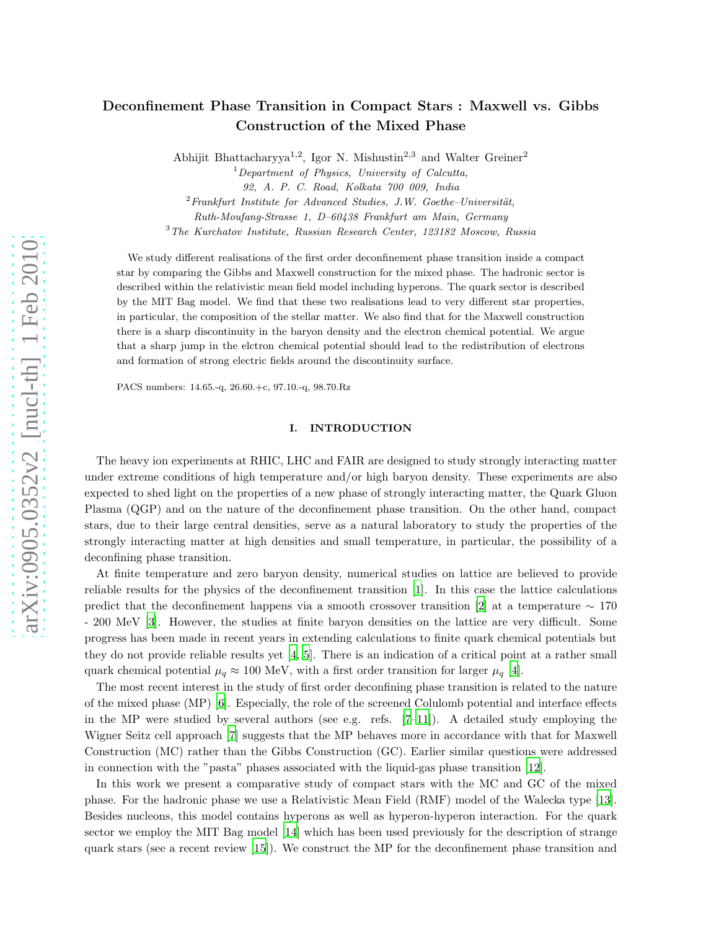# Deconfinement Phase Transition in Compact Stars : Maxwell vs. Gibbs Construction of the Mixed Phase

Abhijit Bhattacharyya<sup>1,2</sup>, Igor N. Mishustin<sup>2,3</sup> and Walter Greiner<sup>2</sup>

 $1$ Department of Physics, University of Calcutta,

92, A. P. C. Road, Kolkata 700 009, India

 $2$ Frankfurt Institute for Advanced Studies, J.W. Goethe–Universität,

Ruth-Moufang-Strasse 1, D–60438 Frankfurt am Main, Germany

<sup>3</sup>The Kurchatov Institute, Russian Research Center, 123182 Moscow, Russia

We study different realisations of the first order deconfinement phase transition inside a compact star by comparing the Gibbs and Maxwell construction for the mixed phase. The hadronic sector is described within the relativistic mean field model including hyperons. The quark sector is described by the MIT Bag model. We find that these two realisations lead to very different star properties, in particular, the composition of the stellar matter. We also find that for the Maxwell construction there is a sharp discontinuity in the baryon density and the electron chemical potential. We argue that a sharp jump in the elctron chemical potential should lead to the redistribution of electrons and formation of strong electric fields around the discontinuity surface.

PACS numbers: 14.65.-q, 26.60.+c, 97.10.-q, 98.70.Rz

## I. INTRODUCTION

The heavy ion experiments at RHIC, LHC and FAIR are designed to study strongly interacting matter under extreme conditions of high temperature and/or high baryon density. These experiments are also expected to shed light on the properties of a new phase of strongly interacting matter, the Quark Gluon Plasma (QGP) and on the nature of the deconfinement phase transition. On the other hand, compact stars, due to their large central densities, serve as a natural laboratory to study the properties of the strongly interacting matter at high densities and small temperature, in particular, the possibility of a deconfining phase transition.

At finite temperature and zero baryon density, numerical studies on lattice are believed to provide reliable results for the physics of the deconfinement transition [\[1\]](#page-8-0). In this case the lattice calculations predict that the deconfinement happens via a smooth crossover transition [\[2](#page-8-1)] at a temperature  $\sim 170$ - 200 MeV [\[3\]](#page-8-2). However, the studies at finite baryon densities on the lattice are very difficult. Some progress has been made in recent years in extending calculations to finite quark chemical potentials but they do not provide reliable results yet [\[4,](#page-8-3) [5\]](#page-8-4). There is an indication of a critical point at a rather small quark chemical potential  $\mu_q \approx 100$  MeV, with a first order transition for larger  $\mu_q$  [\[4\]](#page-8-3).

The most recent interest in the study of first order deconfining phase transition is related to the nature of the mixed phase (MP) [\[6\]](#page-8-5). Especially, the role of the screened Colulomb potential and interface effects in the MP were studied by several authors (see e.g. refs.  $[7-11]$ ). A detailed study employing the Wigner Seitz cell approach [\[7\]](#page-8-6) suggests that the MP behaves more in accordance with that for Maxwell Construction (MC) rather than the Gibbs Construction (GC). Earlier similar questions were addressed in connection with the "pasta" phases associated with the liquid-gas phase transition [\[12\]](#page-9-0).

In this work we present a comparative study of compact stars with the MC and GC of the mixed phase. For the hadronic phase we use a Relativistic Mean Field (RMF) model of the Walecka type [\[13\]](#page-9-1). Besides nucleons, this model contains hyperons as well as hyperon-hyperon interaction. For the quark sector we employ the MIT Bag model [\[14\]](#page-9-2) which has been used previously for the description of strange quark stars (see a recent review [\[15\]](#page-9-3)). We construct the MP for the deconfinement phase transition and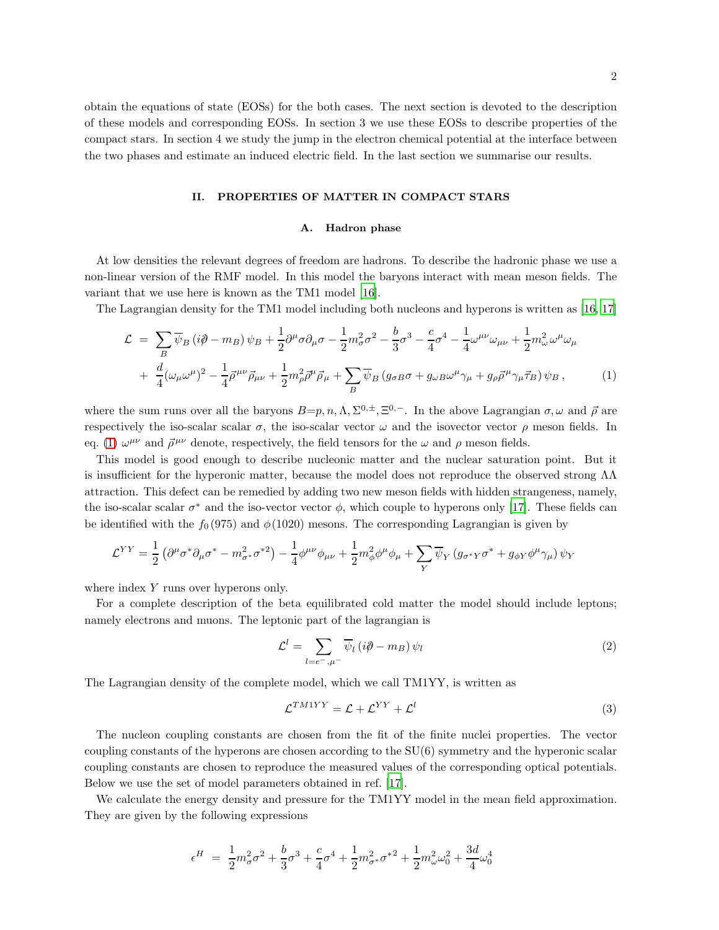obtain the equations of state (EOSs) for the both cases. The next section is devoted to the description of these models and corresponding EOSs. In section 3 we use these EOSs to describe properties of the compact stars. In section 4 we study the jump in the electron chemical potential at the interface between the two phases and estimate an induced electric field. In the last section we summarise our results.

#### II. PROPERTIES OF MATTER IN COMPACT STARS

#### A. Hadron phase

At low densities the relevant degrees of freedom are hadrons. To describe the hadronic phase we use a non-linear version of the RMF model. In this model the baryons interact with mean meson fields. The variant that we use here is known as the TM1 model [\[16\]](#page-9-4).

The Lagrangian density for the TM1 model including both nucleons and hyperons is written as [\[16](#page-9-4), [17\]](#page-9-5)

<span id="page-1-0"></span>
$$
\mathcal{L} = \sum_{B} \overline{\psi}_{B} \left( i\partial - m_{B} \right) \psi_{B} + \frac{1}{2} \partial^{\mu} \sigma \partial_{\mu} \sigma - \frac{1}{2} m_{\sigma}^{2} \sigma^{2} - \frac{b}{3} \sigma^{3} - \frac{c}{4} \sigma^{4} - \frac{1}{4} \omega^{\mu \nu} \omega_{\mu \nu} + \frac{1}{2} m_{\omega}^{2} \omega^{\mu} \omega_{\mu} + \frac{d}{4} (\omega_{\mu} \omega^{\mu})^{2} - \frac{1}{4} \overline{\rho}^{\mu \nu} \overrightarrow{\rho}_{\mu \nu} + \frac{1}{2} m_{\rho}^{2} \overrightarrow{\rho}^{\mu} \overrightarrow{\rho}_{\mu} + \sum_{B} \overline{\psi}_{B} \left( g_{\sigma B} \sigma + g_{\omega B} \omega^{\mu} \gamma_{\mu} + g_{\rho} \overrightarrow{\rho}^{\mu} \gamma_{\mu} \overrightarrow{\tau}_{B} \right) \psi_{B} , \tag{1}
$$

where the sum runs over all the baryons  $B=p, n, \Lambda, \Sigma^{0,\pm}, \Xi^{0,-}$ . In the above Lagrangian  $\sigma, \omega$  and  $\vec{\rho}$  are respectively the iso-scalar scalar  $\sigma$ , the iso-scalar vector  $\omega$  and the isovector vector  $\rho$  meson fields. In eq. [\(1\)](#page-1-0)  $\omega^{\mu\nu}$  and  $\vec{\rho}^{\mu\nu}$  denote, respectively, the field tensors for the  $\omega$  and  $\rho$  meson fields.

This model is good enough to describe nucleonic matter and the nuclear saturation point. But it is insufficient for the hyperonic matter, because the model does not reproduce the observed strong  $\Lambda\Lambda$ attraction. This defect can be remedied by adding two new meson fields with hidden strangeness, namely, the iso-scalar scalar  $\sigma^*$  and the iso-vector vector  $\phi$ , which couple to hyperons only [\[17\]](#page-9-5). These fields can be identified with the  $f_0(975)$  and  $\phi(1020)$  mesons. The corresponding Lagrangian is given by

$$
\mathcal{L}^{YY} = \frac{1}{2} \left( \partial^{\mu} \sigma^* \partial_{\mu} \sigma^* - m_{\sigma^*}^2 \sigma^{*2} \right) - \frac{1}{4} \phi^{\mu \nu} \phi_{\mu \nu} + \frac{1}{2} m_{\phi}^2 \phi^{\mu} \phi_{\mu} + \sum_{Y} \overline{\psi}_{Y} \left( g_{\sigma^* Y} \sigma^* + g_{\phi Y} \phi^{\mu} \gamma_{\mu} \right) \psi_{Y}
$$

where index Y runs over hyperons only.

For a complete description of the beta equilibrated cold matter the model should include leptons; namely electrons and muons. The leptonic part of the lagrangian is

$$
\mathcal{L}^{l} = \sum_{l=e^{-},\mu^{-}} \overline{\psi}_{l} \left( i\partial \!\!\!/ - m_{B} \right) \psi_{l}
$$
\n<sup>(2)</sup>

The Lagrangian density of the complete model, which we call TM1YY, is written as

$$
\mathcal{L}^{TM1YY} = \mathcal{L} + \mathcal{L}^{YY} + \mathcal{L}^{l}
$$
\n(3)

The nucleon coupling constants are chosen from the fit of the finite nuclei properties. The vector coupling constants of the hyperons are chosen according to the SU(6) symmetry and the hyperonic scalar coupling constants are chosen to reproduce the measured values of the corresponding optical potentials. Below we use the set of model parameters obtained in ref. [\[17\]](#page-9-5).

We calculate the energy density and pressure for the TM1YY model in the mean field approximation. They are given by the following expressions

$$
\epsilon^H \ = \ \frac{1}{2} m_{\sigma}^2 \sigma^2 + \frac{b}{3} \sigma^3 + \frac{c}{4} \sigma^4 + \frac{1}{2} m_{\sigma^*}^2 \sigma^{*2} + \frac{1}{2} m_{\omega}^2 \omega_0^2 + \frac{3d}{4} \omega_0^4
$$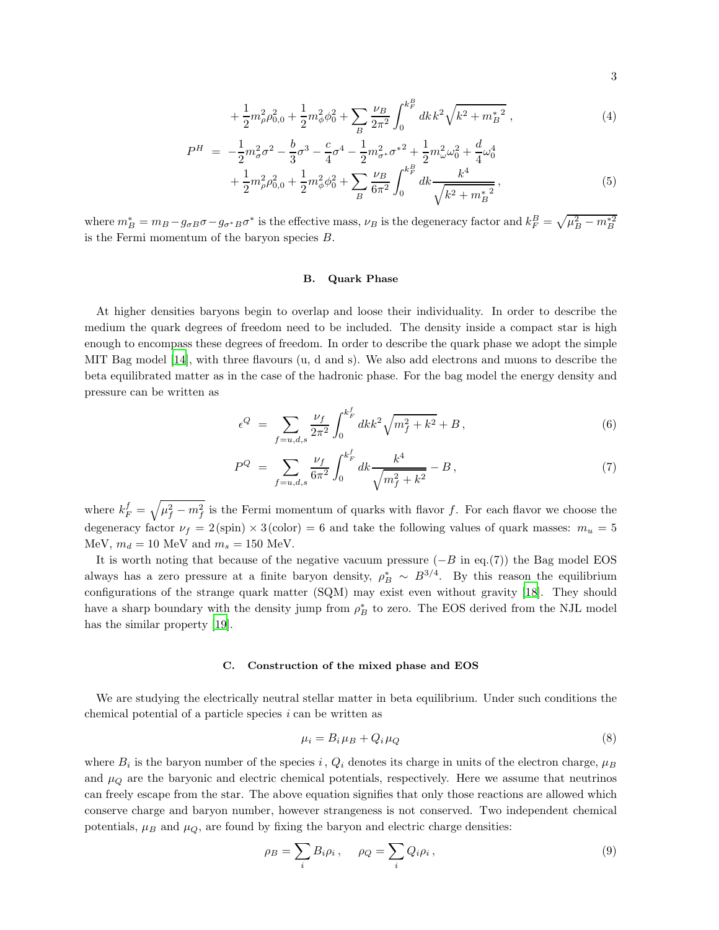$$
+\frac{1}{2}m_{\rho}^{2}\rho_{0,0}^{2}+\frac{1}{2}m_{\phi}^{2}\phi_{0}^{2}+\sum_{B}\frac{\nu_{B}}{2\pi^{2}}\int_{0}^{k_{F}^{B}}dk\,k^{2}\sqrt{k^{2}+m_{B}^{*}}^{2}\,,\tag{4}
$$

$$
P^{H} = -\frac{1}{2}m_{\sigma}^{2}\sigma^{2} - \frac{b}{3}\sigma^{3} - \frac{c}{4}\sigma^{4} - \frac{1}{2}m_{\sigma}^{2}\sigma^{*2} + \frac{1}{2}m_{\omega}^{2}\omega_{0}^{2} + \frac{d}{4}\omega_{0}^{4} + \frac{1}{2}m_{\rho}^{2}\rho_{0,0}^{2} + \frac{1}{2}m_{\phi}^{2}\phi_{0}^{2} + \sum_{B} \frac{\nu_{B}}{6\pi^{2}} \int_{0}^{k_{F}^{B}} dk \frac{k^{4}}{\sqrt{k^{2} + m_{B}^{*2}}},
$$
\n
$$
(5)
$$

where  $m_B^* = m_B - g_{\sigma B} \sigma - g_{\sigma^* B} \sigma^*$  is the effective mass,  $\nu_B$  is the degeneracy factor and  $k_F^B = \sqrt{\mu_B^2 - m_B^{*2}}$ is the Fermi momentum of the baryon species B.

## B. Quark Phase

At higher densities baryons begin to overlap and loose their individuality. In order to describe the medium the quark degrees of freedom need to be included. The density inside a compact star is high enough to encompass these degrees of freedom. In order to describe the quark phase we adopt the simple MIT Bag model [\[14](#page-9-2)], with three flavours (u, d and s). We also add electrons and muons to describe the beta equilibrated matter as in the case of the hadronic phase. For the bag model the energy density and pressure can be written as

$$
\epsilon^{Q} = \sum_{f=u,d,s} \frac{\nu_{f}}{2\pi^{2}} \int_{0}^{k_{F}^{f}} dk k^{2} \sqrt{m_{f}^{2} + k^{2}} + B , \qquad (6)
$$

$$
P^{Q} = \sum_{f=u,d,s} \frac{\nu_{f}}{6\pi^{2}} \int_{0}^{k_{F}^{f}} dk \frac{k^{4}}{\sqrt{m_{f}^{2} + k^{2}}} - B,
$$
\n(7)

where  $k_F^f = \sqrt{\mu_f^2 - m_f^2}$  is the Fermi momentum of quarks with flavor f. For each flavor we choose the degeneracy factor  $\nu_f = 2(\text{spin}) \times 3(\text{color}) = 6$  and take the following values of quark masses:  $m_u = 5$ MeV,  $m_d = 10$  MeV and  $m_s = 150$  MeV.

It is worth noting that because of the negative vacuum pressure  $(-B \text{ in eq.}(7))$  the Bag model EOS always has a zero pressure at a finite baryon density,  $\rho_B^* \sim B^{3/4}$ . By this reason the equilibrium configurations of the strange quark matter (SQM) may exist even without gravity [\[18\]](#page-9-6). They should have a sharp boundary with the density jump from  $\rho_B^*$  to zero. The EOS derived from the NJL model has the similar property [\[19](#page-9-7)].

### C. Construction of the mixed phase and EOS

We are studying the electrically neutral stellar matter in beta equilibrium. Under such conditions the chemical potential of a particle species i can be written as

<span id="page-2-0"></span>
$$
\mu_i = B_i \mu_B + Q_i \mu_Q \tag{8}
$$

where  $B_i$  is the baryon number of the species i,  $Q_i$  denotes its charge in units of the electron charge,  $\mu_B$ and  $\mu_Q$  are the baryonic and electric chemical potentials, respectively. Here we assume that neutrinos can freely escape from the star. The above equation signifies that only those reactions are allowed which conserve charge and baryon number, however strangeness is not conserved. Two independent chemical potentials,  $\mu_B$  and  $\mu_Q$ , are found by fixing the baryon and electric charge densities:

$$
\rho_B = \sum_i B_i \rho_i \,, \quad \rho_Q = \sum_i Q_i \rho_i \,, \tag{9}
$$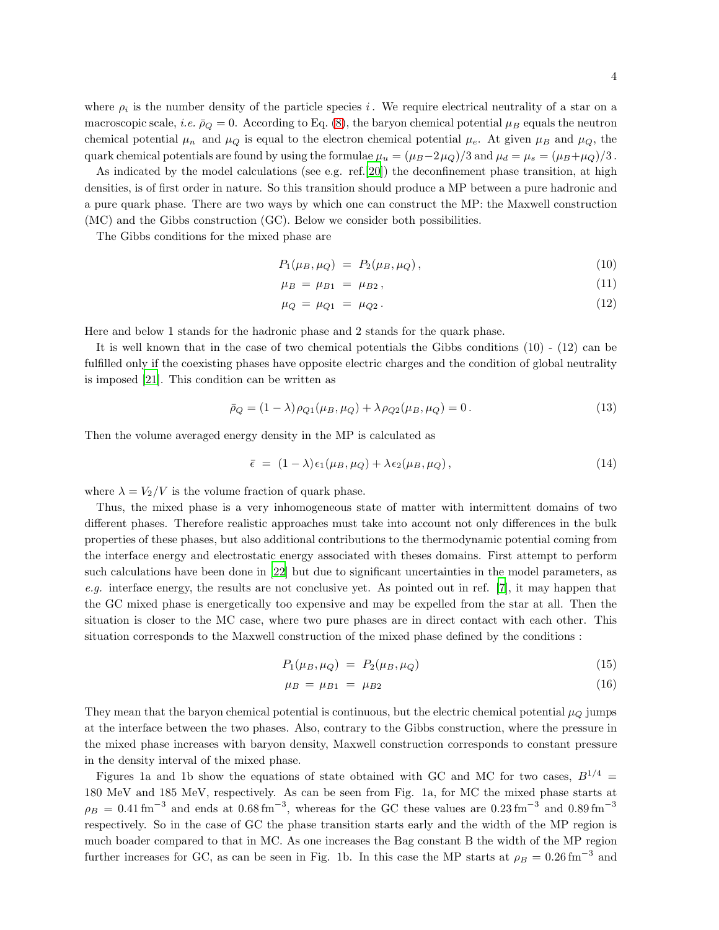where  $\rho_i$  is the number density of the particle species i. We require electrical neutrality of a star on a macroscopic scale, *i.e.*  $\bar{\rho}_Q = 0$ . According to Eq. [\(8\)](#page-2-0), the baryon chemical potential  $\mu_B$  equals the neutron chemical potential  $\mu_n$  and  $\mu_Q$  is equal to the electron chemical potential  $\mu_e$ . At given  $\mu_B$  and  $\mu_Q$ , the quark chemical potentials are found by using the formulae  $\mu_u = (\mu_B - 2\mu_Q)/3$  and  $\mu_d = \mu_s = (\mu_B + \mu_Q)/3$ .

As indicated by the model calculations (see e.g. ref.[\[20\]](#page-9-8)) the deconfinement phase transition, at high densities, is of first order in nature. So this transition should produce a MP between a pure hadronic and a pure quark phase. There are two ways by which one can construct the MP: the Maxwell construction (MC) and the Gibbs construction (GC). Below we consider both possibilities.

The Gibbs conditions for the mixed phase are

$$
P_1(\mu_B, \mu_Q) = P_2(\mu_B, \mu_Q), \tag{10}
$$

$$
\mu_B = \mu_{B1} = \mu_{B2},\tag{11}
$$

$$
\mu_Q = \mu_{Q1} = \mu_{Q2} \,. \tag{12}
$$

Here and below 1 stands for the hadronic phase and 2 stands for the quark phase.

It is well known that in the case of two chemical potentials the Gibbs conditions (10) - (12) can be fulfilled only if the coexisting phases have opposite electric charges and the condition of global neutrality is imposed [\[21\]](#page-9-9). This condition can be written as

$$
\bar{\rho}_Q = (1 - \lambda)\rho_{Q1}(\mu_B, \mu_Q) + \lambda \rho_{Q2}(\mu_B, \mu_Q) = 0.
$$
\n(13)

Then the volume averaged energy density in the MP is calculated as

$$
\bar{\epsilon} = (1 - \lambda)\epsilon_1(\mu_B, \mu_Q) + \lambda \epsilon_2(\mu_B, \mu_Q), \qquad (14)
$$

where  $\lambda = V_2/V$  is the volume fraction of quark phase.

Thus, the mixed phase is a very inhomogeneous state of matter with intermittent domains of two different phases. Therefore realistic approaches must take into account not only differences in the bulk properties of these phases, but also additional contributions to the thermodynamic potential coming from the interface energy and electrostatic energy associated with theses domains. First attempt to perform such calculations have been done in [\[22\]](#page-9-10) but due to significant uncertainties in the model parameters, as e.g. interface energy, the results are not conclusive yet. As pointed out in ref. [\[7](#page-8-6)], it may happen that the GC mixed phase is energetically too expensive and may be expelled from the star at all. Then the situation is closer to the MC case, where two pure phases are in direct contact with each other. This situation corresponds to the Maxwell construction of the mixed phase defined by the conditions :

$$
P_1(\mu_B, \mu_Q) = P_2(\mu_B, \mu_Q) \tag{15}
$$

$$
\mu_B = \mu_{B1} = \mu_{B2} \tag{16}
$$

They mean that the baryon chemical potential is continuous, but the electric chemical potential  $\mu_Q$  jumps at the interface between the two phases. Also, contrary to the Gibbs construction, where the pressure in the mixed phase increases with baryon density, Maxwell construction corresponds to constant pressure in the density interval of the mixed phase.

Figures 1a and 1b show the equations of state obtained with GC and MC for two cases,  $B^{1/4}$  = 180 MeV and 185 MeV, respectively. As can be seen from Fig. 1a, for MC the mixed phase starts at  $\rho_B = 0.41 \,\text{fm}^{-3}$  and ends at  $0.68 \,\text{fm}^{-3}$ , whereas for the GC these values are  $0.23 \,\text{fm}^{-3}$  and  $0.89 \,\text{fm}^{-3}$ respectively. So in the case of GC the phase transition starts early and the width of the MP region is much boader compared to that in MC. As one increases the Bag constant B the width of the MP region further increases for GC, as can be seen in Fig. 1b. In this case the MP starts at  $\rho_B = 0.26 \text{ fm}^{-3}$  and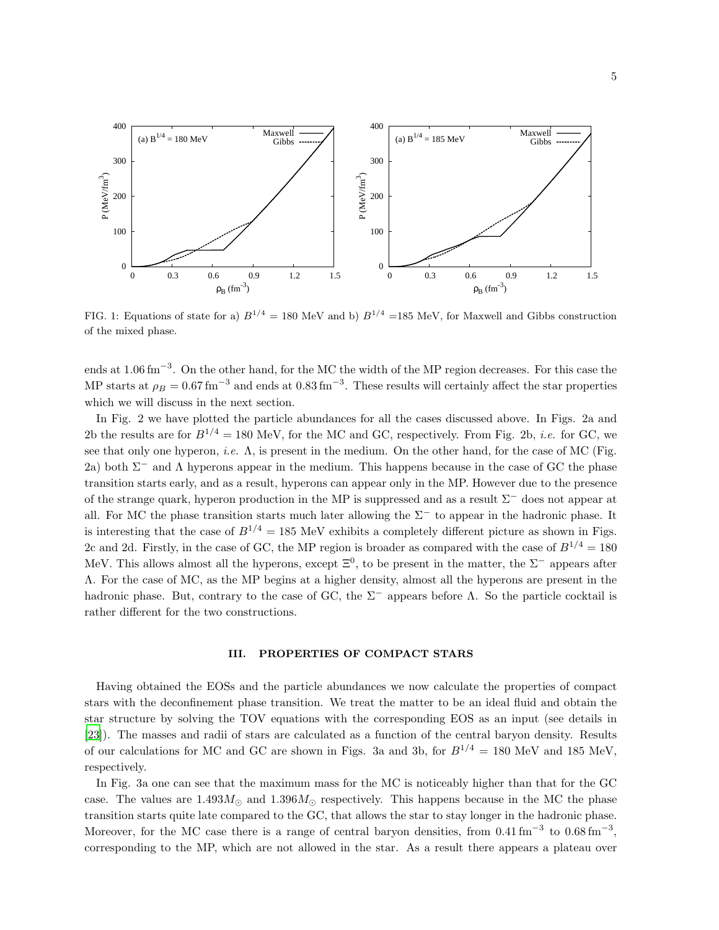

FIG. 1: Equations of state for a)  $B^{1/4} = 180$  MeV and b)  $B^{1/4} = 185$  MeV, for Maxwell and Gibbs construction of the mixed phase.

ends at 1.06 fm<sup>-3</sup>. On the other hand, for the MC the width of the MP region decreases. For this case the MP starts at  $\rho_B = 0.67 \,\text{fm}^{-3}$  and ends at  $0.83 \,\text{fm}^{-3}$ . These results will certainly affect the star properties which we will discuss in the next section.

In Fig. 2 we have plotted the particle abundances for all the cases discussed above. In Figs. 2a and 2b the results are for  $B^{1/4} = 180$  MeV, for the MC and GC, respectively. From Fig. 2b, *i.e.* for GC, we see that only one hyperon, *i.e.*  $\Lambda$ , is present in the medium. On the other hand, for the case of MC (Fig. 2a) both  $\Sigma^-$  and  $\Lambda$  hyperons appear in the medium. This happens because in the case of GC the phase transition starts early, and as a result, hyperons can appear only in the MP. However due to the presence of the strange quark, hyperon production in the MP is suppressed and as a result  $\Sigma^-$  does not appear at all. For MC the phase transition starts much later allowing the  $\Sigma^-$  to appear in the hadronic phase. It is interesting that the case of  $B^{1/4} = 185$  MeV exhibits a completely different picture as shown in Figs. 2c and 2d. Firstly, in the case of GC, the MP region is broader as compared with the case of  $B^{1/4} = 180$ MeV. This allows almost all the hyperons, except  $\Xi^0$ , to be present in the matter, the  $\Sigma^-$  appears after Λ. For the case of MC, as the MP begins at a higher density, almost all the hyperons are present in the hadronic phase. But, contrary to the case of GC, the  $\Sigma^-$  appears before  $\Lambda$ . So the particle cocktail is rather different for the two constructions.

#### III. PROPERTIES OF COMPACT STARS

Having obtained the EOSs and the particle abundances we now calculate the properties of compact stars with the deconfinement phase transition. We treat the matter to be an ideal fluid and obtain the star structure by solving the TOV equations with the corresponding EOS as an input (see details in [\[23\]](#page-9-11)). The masses and radii of stars are calculated as a function of the central baryon density. Results of our calculations for MC and GC are shown in Figs. 3a and 3b, for  $B^{1/4} = 180$  MeV and 185 MeV, respectively.

In Fig. 3a one can see that the maximum mass for the MC is noticeably higher than that for the GC case. The values are  $1.493M_{\odot}$  and  $1.396M_{\odot}$  respectively. This happens because in the MC the phase transition starts quite late compared to the GC, that allows the star to stay longer in the hadronic phase. Moreover, for the MC case there is a range of central baryon densities, from  $0.41 \text{ fm}^{-3}$  to  $0.68 \text{ fm}^{-3}$ , corresponding to the MP, which are not allowed in the star. As a result there appears a plateau over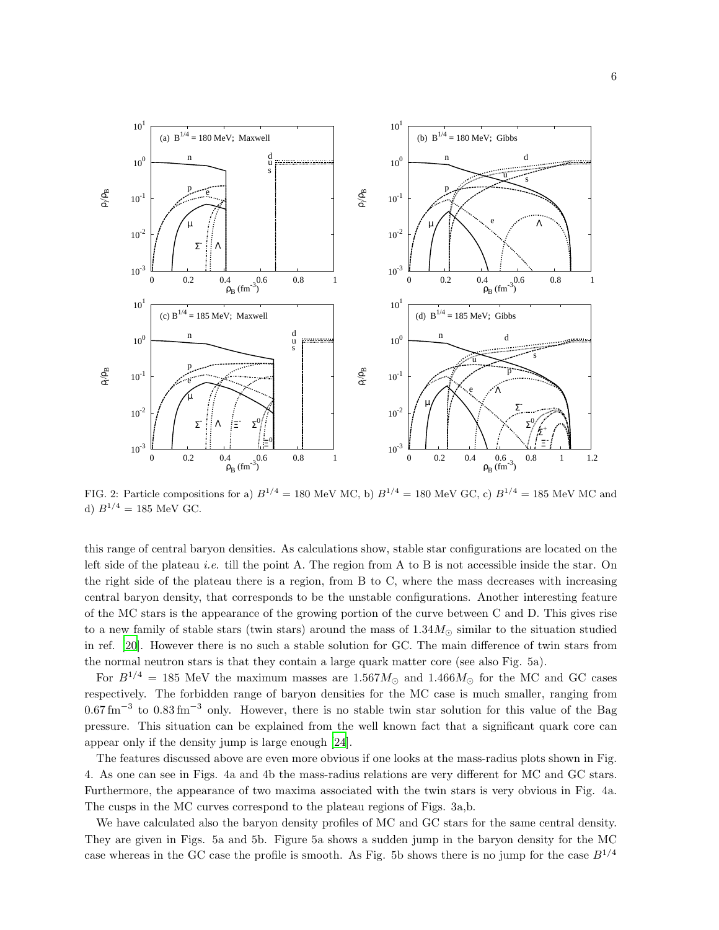

FIG. 2: Particle compositions for a)  $B^{1/4} = 180$  MeV MC, b)  $B^{1/4} = 180$  MeV GC, c)  $B^{1/4} = 185$  MeV MC and d)  $B^{1/4} = 185$  MeV GC.

this range of central baryon densities. As calculations show, stable star configurations are located on the left side of the plateau *i.e.* till the point A. The region from A to B is not accessible inside the star. On the right side of the plateau there is a region, from B to C, where the mass decreases with increasing central baryon density, that corresponds to be the unstable configurations. Another interesting feature of the MC stars is the appearance of the growing portion of the curve between C and D. This gives rise to a new family of stable stars (twin stars) around the mass of  $1.34M_{\odot}$  similar to the situation studied in ref. [\[20\]](#page-9-8). However there is no such a stable solution for GC. The main difference of twin stars from the normal neutron stars is that they contain a large quark matter core (see also Fig. 5a).

For  $B^{1/4} = 185$  MeV the maximum masses are  $1.567M_{\odot}$  and  $1.466M_{\odot}$  for the MC and GC cases respectively. The forbidden range of baryon densities for the MC case is much smaller, ranging from  $0.67 \,\mathrm{fm}^{-3}$  to  $0.83 \,\mathrm{fm}^{-3}$  only. However, there is no stable twin star solution for this value of the Bag pressure. This situation can be explained from the well known fact that a significant quark core can appear only if the density jump is large enough [\[24\]](#page-9-12).

The features discussed above are even more obvious if one looks at the mass-radius plots shown in Fig. 4. As one can see in Figs. 4a and 4b the mass-radius relations are very different for MC and GC stars. Furthermore, the appearance of two maxima associated with the twin stars is very obvious in Fig. 4a. The cusps in the MC curves correspond to the plateau regions of Figs. 3a,b.

We have calculated also the baryon density profiles of MC and GC stars for the same central density. They are given in Figs. 5a and 5b. Figure 5a shows a sudden jump in the baryon density for the MC case whereas in the GC case the profile is smooth. As Fig. 5b shows there is no jump for the case  $B^{1/4}$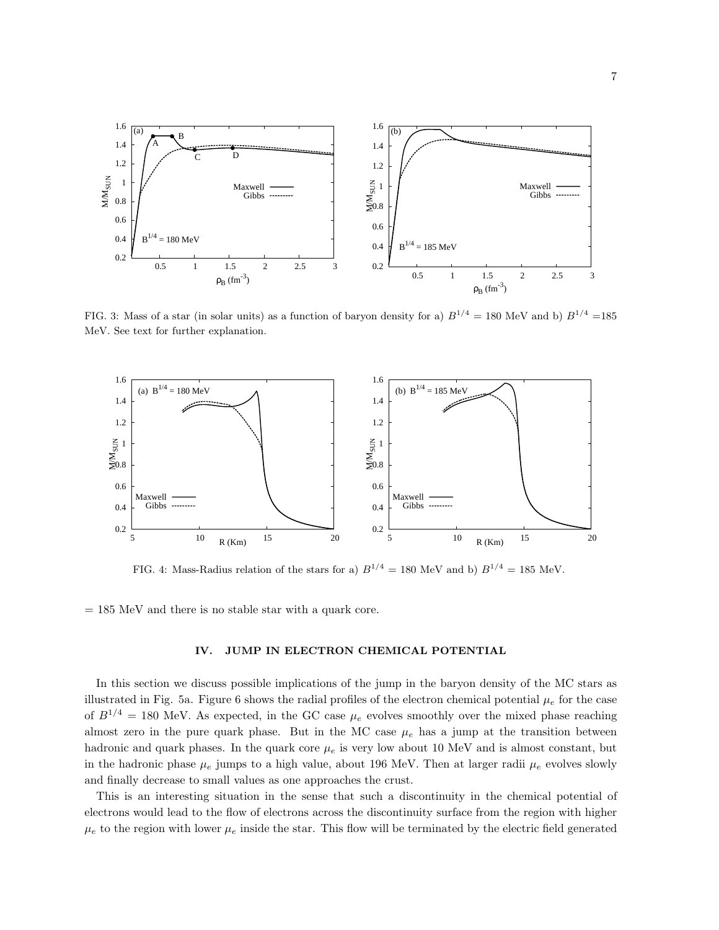

FIG. 3: Mass of a star (in solar units) as a function of baryon density for a)  $B^{1/4} = 180$  MeV and b)  $B^{1/4} = 185$ MeV. See text for further explanation.



FIG. 4: Mass-Radius relation of the stars for a)  $B^{1/4} = 180$  MeV and b)  $B^{1/4} = 185$  MeV.

 $= 185$  MeV and there is no stable star with a quark core.

### IV. JUMP IN ELECTRON CHEMICAL POTENTIAL

In this section we discuss possible implications of the jump in the baryon density of the MC stars as illustrated in Fig. 5a. Figure 6 shows the radial profiles of the electron chemical potential  $\mu_e$  for the case of  $B^{1/4} = 180$  MeV. As expected, in the GC case  $\mu_e$  evolves smoothly over the mixed phase reaching almost zero in the pure quark phase. But in the MC case  $\mu_e$  has a jump at the transition between hadronic and quark phases. In the quark core  $\mu_e$  is very low about 10 MeV and is almost constant, but in the hadronic phase  $\mu_e$  jumps to a high value, about 196 MeV. Then at larger radii  $\mu_e$  evolves slowly and finally decrease to small values as one approaches the crust.

This is an interesting situation in the sense that such a discontinuity in the chemical potential of electrons would lead to the flow of electrons across the discontinuity surface from the region with higher  $\mu_e$  to the region with lower  $\mu_e$  inside the star. This flow will be terminated by the electric field generated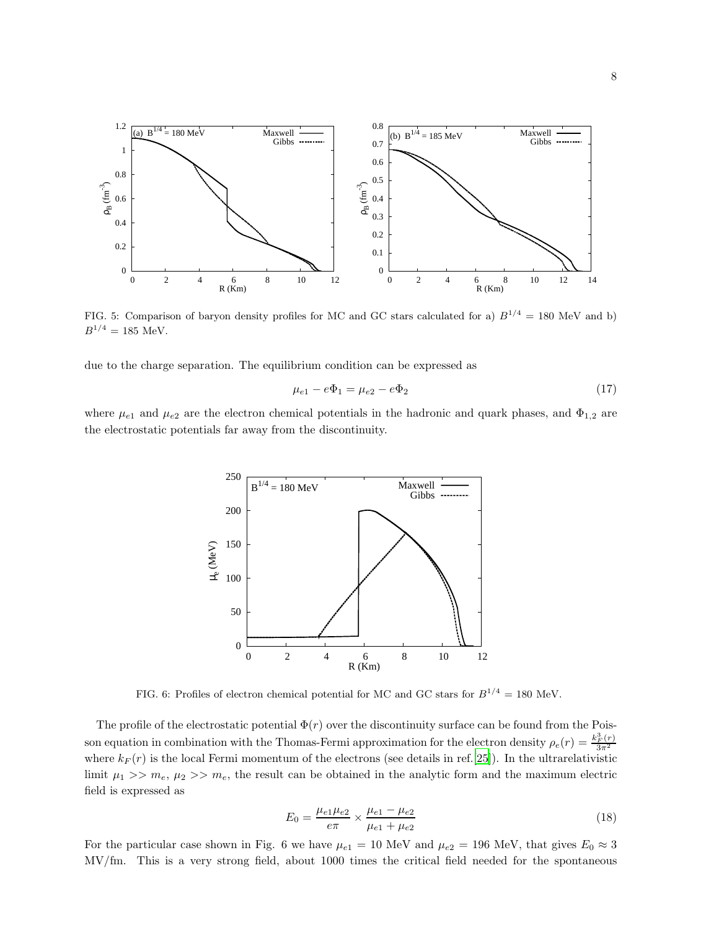

FIG. 5: Comparison of baryon density profiles for MC and GC stars calculated for a)  $B^{1/4} = 180$  MeV and b)  $B^{1/4} = 185$  MeV.

due to the charge separation. The equilibrium condition can be expressed as

$$
\mu_{e1} - e\Phi_1 = \mu_{e2} - e\Phi_2 \tag{17}
$$

where  $\mu_{e1}$  and  $\mu_{e2}$  are the electron chemical potentials in the hadronic and quark phases, and  $\Phi_{1,2}$  are the electrostatic potentials far away from the discontinuity.



FIG. 6: Profiles of electron chemical potential for MC and GC stars for  $B^{1/4} = 180$  MeV.

The profile of the electrostatic potential  $\Phi(r)$  over the discontinuity surface can be found from the Poisson equation in combination with the Thomas-Fermi approximation for the electron density  $\rho_e(r) = \frac{k_F^3(r)}{3\pi^2}$ where  $k_F(r)$  is the local Fermi momentum of the electrons (see details in ref.[\[25](#page-9-13)]). In the ultrarelativistic limit  $\mu_1 >> m_e$ ,  $\mu_2 >> m_e$ , the result can be obtained in the analytic form and the maximum electric field is expressed as

$$
E_0 = \frac{\mu_{e1}\mu_{e2}}{e\pi} \times \frac{\mu_{e1} - \mu_{e2}}{\mu_{e1} + \mu_{e2}}\tag{18}
$$

For the particular case shown in Fig. 6 we have  $\mu_{e1} = 10 \text{ MeV}$  and  $\mu_{e2} = 196 \text{ MeV}$ , that gives  $E_0 \approx 3$ MV/fm. This is a very strong field, about 1000 times the critical field needed for the spontaneous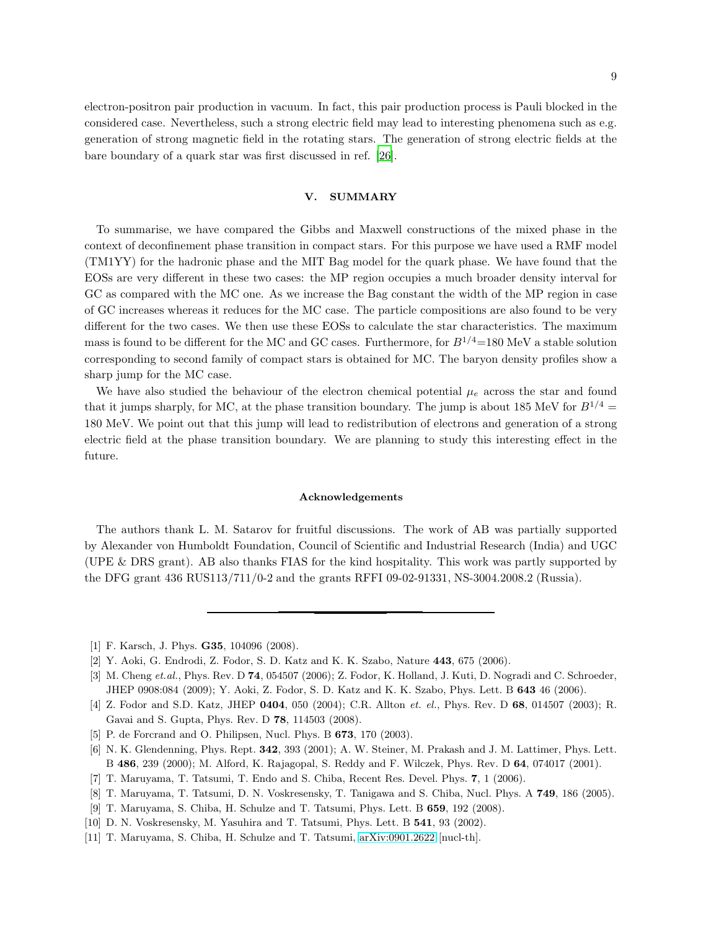electron-positron pair production in vacuum. In fact, this pair production process is Pauli blocked in the considered case. Nevertheless, such a strong electric field may lead to interesting phenomena such as e.g. generation of strong magnetic field in the rotating stars. The generation of strong electric fields at the bare boundary of a quark star was first discussed in ref. [\[26\]](#page-9-14).

## V. SUMMARY

To summarise, we have compared the Gibbs and Maxwell constructions of the mixed phase in the context of deconfinement phase transition in compact stars. For this purpose we have used a RMF model (TM1YY) for the hadronic phase and the MIT Bag model for the quark phase. We have found that the EOSs are very different in these two cases: the MP region occupies a much broader density interval for GC as compared with the MC one. As we increase the Bag constant the width of the MP region in case of GC increases whereas it reduces for the MC case. The particle compositions are also found to be very different for the two cases. We then use these EOSs to calculate the star characteristics. The maximum mass is found to be different for the MC and GC cases. Furthermore, for  $B^{1/4}$ =180 MeV a stable solution corresponding to second family of compact stars is obtained for MC. The baryon density profiles show a sharp jump for the MC case.

We have also studied the behaviour of the electron chemical potential  $\mu_e$  across the star and found that it jumps sharply, for MC, at the phase transition boundary. The jump is about 185 MeV for  $B^{1/4}$  = 180 MeV. We point out that this jump will lead to redistribution of electrons and generation of a strong electric field at the phase transition boundary. We are planning to study this interesting effect in the future.

#### Acknowledgements

The authors thank L. M. Satarov for fruitful discussions. The work of AB was partially supported by Alexander von Humboldt Foundation, Council of Scientific and Industrial Research (India) and UGC (UPE & DRS grant). AB also thanks FIAS for the kind hospitality. This work was partly supported by the DFG grant 436 RUS113/711/0-2 and the grants RFFI 09-02-91331, NS-3004.2008.2 (Russia).

<span id="page-8-0"></span><sup>[1]</sup> F. Karsch, J. Phys. **G35**, 104096 (2008).

<span id="page-8-1"></span><sup>[2]</sup> Y. Aoki, G. Endrodi, Z. Fodor, S. D. Katz and K. K. Szabo, Nature 443, 675 (2006).

<span id="page-8-2"></span><sup>[3]</sup> M. Cheng et.al., Phys. Rev. D 74, 054507 (2006); Z. Fodor, K. Holland, J. Kuti, D. Nogradi and C. Schroeder, JHEP 0908:084 (2009); Y. Aoki, Z. Fodor, S. D. Katz and K. K. Szabo, Phys. Lett. B 643 46 (2006).

<span id="page-8-3"></span><sup>[4]</sup> Z. Fodor and S.D. Katz, JHEP 0404, 050 (2004); C.R. Allton et. el., Phys. Rev. D 68, 014507 (2003); R. Gavai and S. Gupta, Phys. Rev. D 78, 114503 (2008).

<span id="page-8-4"></span><sup>[5]</sup> P. de Forcrand and O. Philipsen, Nucl. Phys. B **673**, 170 (2003).

<span id="page-8-5"></span><sup>[6]</sup> N. K. Glendenning, Phys. Rept. 342, 393 (2001); A. W. Steiner, M. Prakash and J. M. Lattimer, Phys. Lett. B 486, 239 (2000); M. Alford, K. Rajagopal, S. Reddy and F. Wilczek, Phys. Rev. D 64, 074017 (2001).

<span id="page-8-6"></span><sup>[7]</sup> T. Maruyama, T. Tatsumi, T. Endo and S. Chiba, Recent Res. Devel. Phys. 7, 1 (2006).

<sup>[8]</sup> T. Maruyama, T. Tatsumi, D. N. Voskresensky, T. Tanigawa and S. Chiba, Nucl. Phys. A 749, 186 (2005).

<sup>[9]</sup> T. Maruyama, S. Chiba, H. Schulze and T. Tatsumi, Phys. Lett. B 659, 192 (2008).

<sup>[10]</sup> D. N. Voskresensky, M. Yasuhira and T. Tatsumi, Phys. Lett. B 541, 93 (2002).

<span id="page-8-7"></span><sup>[11]</sup> T. Maruyama, S. Chiba, H. Schulze and T. Tatsumi, [arXiv:0901.2622](http://arxiv.org/abs/0901.2622) [nucl-th].